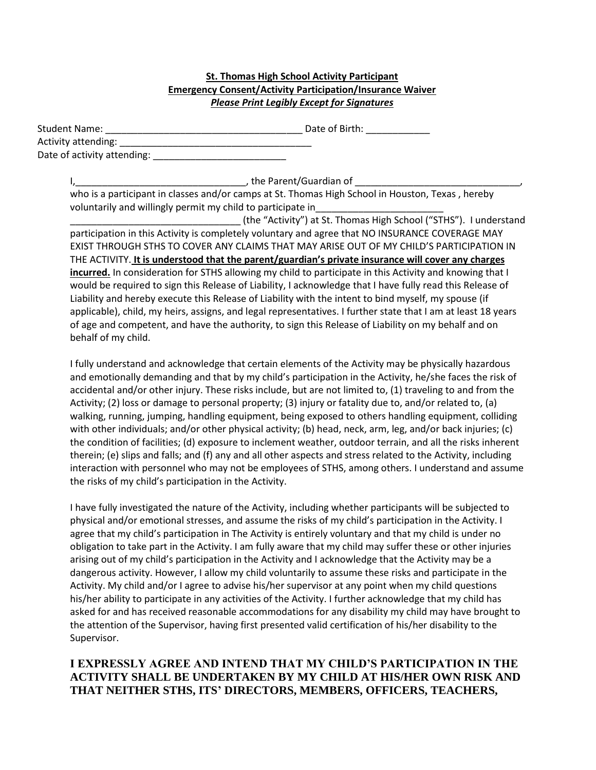#### **St. Thomas High School Activity Participant Emergency Consent/Activity Participation/Insurance Waiver**  *Please Print Legibly Except for Signatures*

| <b>Student Name:</b>        | Date of Birth: |
|-----------------------------|----------------|
| Activity attending:         |                |
| Date of activity attending: |                |

I, the Parent/Guardian of who is a participant in classes and/or camps at St. Thomas High School in Houston, Texas , hereby voluntarily and willingly permit my child to participate in\_\_\_\_\_\_\_\_\_\_\_\_\_\_\_\_\_\_\_\_\_\_\_\_

\_\_\_\_\_\_\_\_\_\_\_\_\_\_\_\_\_\_\_\_\_\_\_\_\_\_\_\_\_\_\_\_ (the "Activity") at St. Thomas High School ("STHS"). I understand participation in this Activity is completely voluntary and agree that NO INSURANCE COVERAGE MAY EXIST THROUGH STHS TO COVER ANY CLAIMS THAT MAY ARISE OUT OF MY CHILD'S PARTICIPATION IN THE ACTIVITY. **It is understood that the parent/guardian's private insurance will cover any charges incurred.** In consideration for STHS allowing my child to participate in this Activity and knowing that I would be required to sign this Release of Liability, I acknowledge that I have fully read this Release of Liability and hereby execute this Release of Liability with the intent to bind myself, my spouse (if applicable), child, my heirs, assigns, and legal representatives. I further state that I am at least 18 years of age and competent, and have the authority, to sign this Release of Liability on my behalf and on behalf of my child.

I fully understand and acknowledge that certain elements of the Activity may be physically hazardous and emotionally demanding and that by my child's participation in the Activity, he/she faces the risk of accidental and/or other injury. These risks include, but are not limited to, (1) traveling to and from the Activity; (2) loss or damage to personal property; (3) injury or fatality due to, and/or related to, (a) walking, running, jumping, handling equipment, being exposed to others handling equipment, colliding with other individuals; and/or other physical activity; (b) head, neck, arm, leg, and/or back injuries; (c) the condition of facilities; (d) exposure to inclement weather, outdoor terrain, and all the risks inherent therein; (e) slips and falls; and (f) any and all other aspects and stress related to the Activity, including interaction with personnel who may not be employees of STHS, among others. I understand and assume the risks of my child's participation in the Activity.

I have fully investigated the nature of the Activity, including whether participants will be subjected to physical and/or emotional stresses, and assume the risks of my child's participation in the Activity. I agree that my child's participation in The Activity is entirely voluntary and that my child is under no obligation to take part in the Activity. I am fully aware that my child may suffer these or other injuries arising out of my child's participation in the Activity and I acknowledge that the Activity may be a dangerous activity. However, I allow my child voluntarily to assume these risks and participate in the Activity. My child and/or I agree to advise his/her supervisor at any point when my child questions his/her ability to participate in any activities of the Activity. I further acknowledge that my child has asked for and has received reasonable accommodations for any disability my child may have brought to the attention of the Supervisor, having first presented valid certification of his/her disability to the Supervisor.

## **I EXPRESSLY AGREE AND INTEND THAT MY CHILD'S PARTICIPATION IN THE ACTIVITY SHALL BE UNDERTAKEN BY MY CHILD AT HIS/HER OWN RISK AND THAT NEITHER STHS, ITS' DIRECTORS, MEMBERS, OFFICERS, TEACHERS,**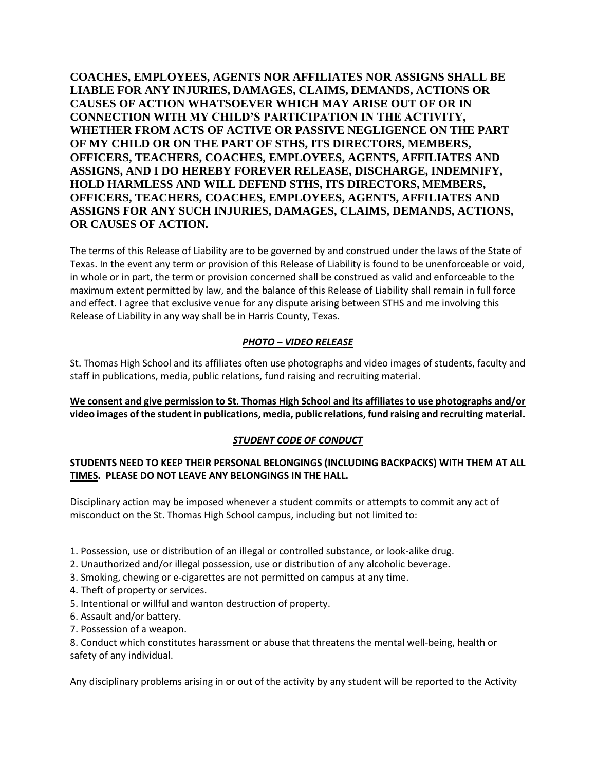**COACHES, EMPLOYEES, AGENTS NOR AFFILIATES NOR ASSIGNS SHALL BE LIABLE FOR ANY INJURIES, DAMAGES, CLAIMS, DEMANDS, ACTIONS OR CAUSES OF ACTION WHATSOEVER WHICH MAY ARISE OUT OF OR IN CONNECTION WITH MY CHILD'S PARTICIPATION IN THE ACTIVITY, WHETHER FROM ACTS OF ACTIVE OR PASSIVE NEGLIGENCE ON THE PART OF MY CHILD OR ON THE PART OF STHS, ITS DIRECTORS, MEMBERS, OFFICERS, TEACHERS, COACHES, EMPLOYEES, AGENTS, AFFILIATES AND ASSIGNS, AND I DO HEREBY FOREVER RELEASE, DISCHARGE, INDEMNIFY, HOLD HARMLESS AND WILL DEFEND STHS, ITS DIRECTORS, MEMBERS, OFFICERS, TEACHERS, COACHES, EMPLOYEES, AGENTS, AFFILIATES AND ASSIGNS FOR ANY SUCH INJURIES, DAMAGES, CLAIMS, DEMANDS, ACTIONS, OR CAUSES OF ACTION.**

The terms of this Release of Liability are to be governed by and construed under the laws of the State of Texas. In the event any term or provision of this Release of Liability is found to be unenforceable or void, in whole or in part, the term or provision concerned shall be construed as valid and enforceable to the maximum extent permitted by law, and the balance of this Release of Liability shall remain in full force and effect. I agree that exclusive venue for any dispute arising between STHS and me involving this Release of Liability in any way shall be in Harris County, Texas.

## *PHOTO – VIDEO RELEASE*

St. Thomas High School and its affiliates often use photographs and video images of students, faculty and staff in publications, media, public relations, fund raising and recruiting material.

### **We consent and give permission to St. Thomas High School and its affiliates to use photographs and/or video images of the student in publications, media, public relations, fund raising and recruiting material.**

#### *STUDENT CODE OF CONDUCT*

#### **STUDENTS NEED TO KEEP THEIR PERSONAL BELONGINGS (INCLUDING BACKPACKS) WITH THEM AT ALL TIMES. PLEASE DO NOT LEAVE ANY BELONGINGS IN THE HALL.**

Disciplinary action may be imposed whenever a student commits or attempts to commit any act of misconduct on the St. Thomas High School campus, including but not limited to:

- 1. Possession, use or distribution of an illegal or controlled substance, or look-alike drug.
- 2. Unauthorized and/or illegal possession, use or distribution of any alcoholic beverage.
- 3. Smoking, chewing or e-cigarettes are not permitted on campus at any time.
- 4. Theft of property or services.
- 5. Intentional or willful and wanton destruction of property.
- 6. Assault and/or battery.
- 7. Possession of a weapon.

8. Conduct which constitutes harassment or abuse that threatens the mental well-being, health or safety of any individual.

Any disciplinary problems arising in or out of the activity by any student will be reported to the Activity